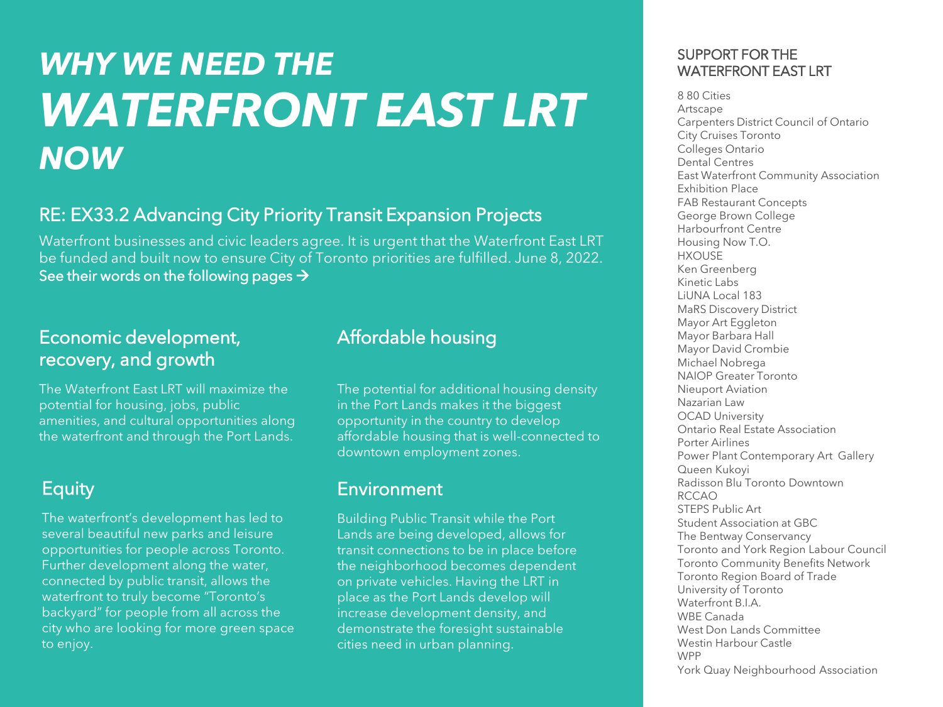# *WHY WE NEED THE WATERFRONT EAST LRT NOW*

# RE: EX33.2 Advancing City Priority Transit Expansion Projects

Waterfront businesses and civic leaders agree. It is urgent that the Waterfront East LRT be funded and built now to ensure City of Toronto priorities are fulfilled. June 8, 2022. See their words on the following pages →

# Economic development, recovery, and growth

The Waterfront East LRT will maximize the potential for housing, jobs, public amenities, and cultural opportunities along the waterfront and through the Port Lands.

# **Equity**

The waterfront's development has led to several beautiful new parks and leisure opportunities for people across Toronto. Further development along the water, connected by public transit, allows the waterfront to truly become "Toronto's backyard" for people from all across the city who are looking for more green space to enjoy.

# Affordable housing

The potential for additional housing density in the Port Lands makes it the biggest opportunity in the country to develop affordable housing that is well-connected to downtown employment zones.

# **Environment**

Building Public Transit while the Port Lands are being developed, allows for transit connections to be in place before the neighborhood becomes dependent on private vehicles. Having the LRT in place as the Port Lands develop will increase development density, and demonstrate the foresight sustainable cities need in urban planning.

#### SUPPORT FOR THE WATERFRONT EAST LRT

8 80 Cities Artscape Carpenters District Council of Ontario City Cruises Toronto Colleges Ontario Dental Centres East Waterfront Community Association Exhibition Place FAB Restaurant Concepts George Brown College Harbourfront Centre Housing Now T.O. HXOUSE Ken Greenberg Kinetic Labs LiUNA Local 183 MaRS Discovery District Mayor Art Eggleton Mayor Barbara Hall Mayor David Crombie Michael Nobrega NAIOP Greater Toronto Nieuport Aviation Nazarian Law OCAD University Ontario Real Estate Association Porter Airlines Power Plant Contemporary Art Gallery Queen Kukoyi Radisson Blu Toronto Downtown RCCAO STEPS Public Art Student Association at GBC The Bentway Conservancy Toronto and York Region Labour Council Toronto Community Benefits Network Toronto Region Board of Trade University of Toronto Waterfront B.I.A. WBE Canada West Don Lands Committee Westin Harbour Castle WPP York Quay Neighbourhood Association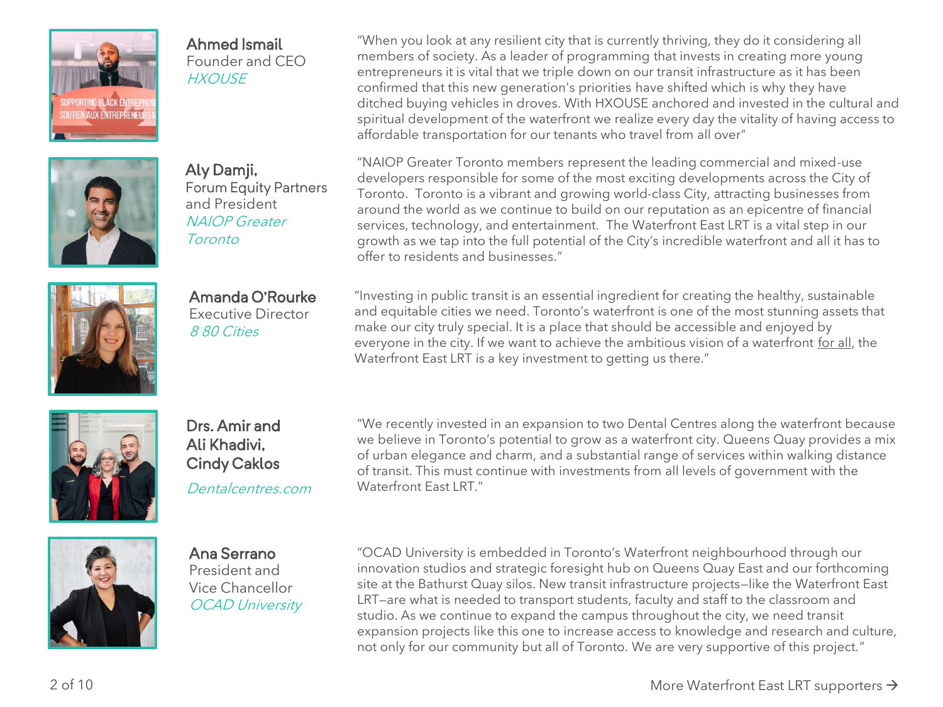

#### Ahmed Ismail

Founder and CEO **HXOUSE** 



Aly Damji, Forum Equity Partners and President NAIOP Greater Toronto



Amanda O'Rourke Executive Director 8 80 Cities

"When you look at any resilient city that is currently thriving, they do it considering all members of society. As a leader of programming that invests in creating more young entrepreneurs it is vital that we triple down on our transit infrastructure as it has been confirmed that this new generation's priorities have shifted which is why they have ditched buying vehicles in droves. With HXOUSE anchored and invested in the cultural and spiritual development of the waterfront we realize every day the vitality of having access to affordable transportation for our tenants who travel from all over"

"NAIOP Greater Toronto members represent the leading commercial and mixed-use developers responsible for some of the most exciting developments across the City of Toronto. Toronto is a vibrant and growing world-class City, attracting businesses from around the world as we continue to build on our reputation as an epicentre of financial services, technology, and entertainment. The Waterfront East LRT is a vital step in our growth as we tap into the full potential of the City's incredible waterfront and all it has to offer to residents and businesses."

"Investing in public transit is an essential ingredient for creating the healthy, sustainable and equitable cities we need. Toronto's waterfront is one of the most stunning assets that make our city truly special. It is a place that should be accessible and enjoyed by everyone in the city. If we want to achieve the ambitious vision of a waterfront for all, the Waterfront East LRT is a key investment to getting us there."



Drs. Amir and Ali Khadivi, Cindy Caklos

Dentalcentres.com

"We recently invested in an expansion to two Dental Centres along the waterfront because we believe in Toronto's potential to grow as a waterfront city. Queens Quay provides a mix of urban elegance and charm, and a substantial range of services within walking distance of transit. This must continue with investments from all levels of government with the Waterfront Fast LRT."



Ana Serrano President and Vice Chancellor OCAD University "OCAD University is embedded in Toronto's Waterfront neighbourhood through our innovation studios and strategic foresight hub on Queens Quay East and our forthcoming site at the Bathurst Quay silos. New transit infrastructure projects—like the Waterfront East LRT—are what is needed to transport students, faculty and staff to the classroom and studio. As we continue to expand the campus throughout the city, we need transit expansion projects like this one to increase access to knowledge and research and culture, not only for our community but all of Toronto. We are very supportive of this project."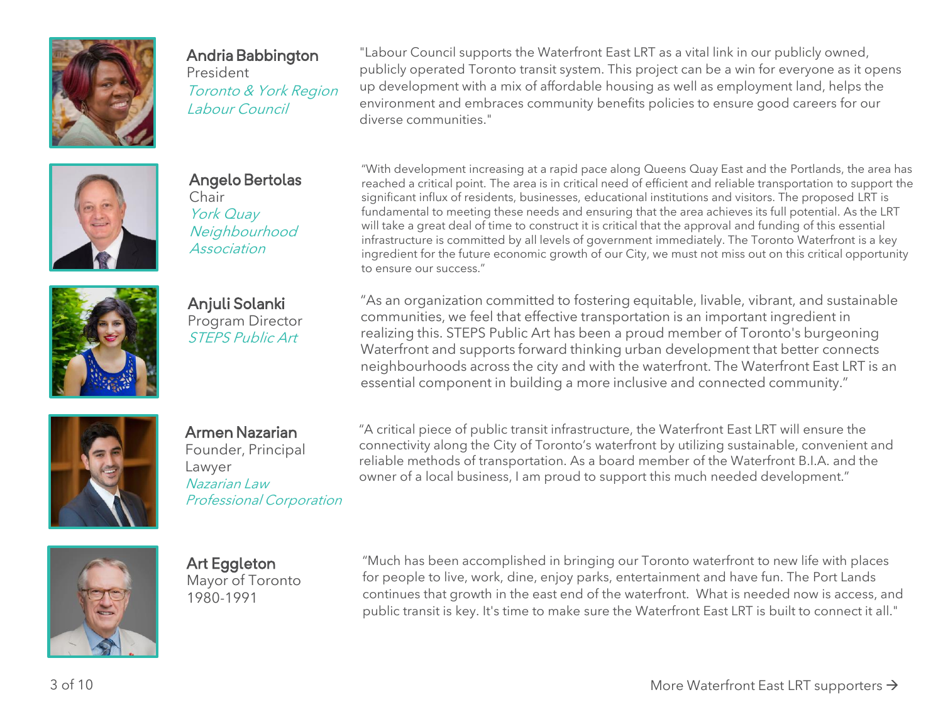

## Andria Babbington

President Toronto & York Region Labour Council

"Labour Council supports the Waterfront East LRT as a vital link in our publicly owned, publicly operated Toronto transit system. This project can be a win for everyone as it opens up development with a mix of affordable housing as well as employment land, helps the environment and embraces community benefits policies to ensure good careers for our diverse communities."



Angelo Bertolas Chair York Quay **Neighbourhood** Association

Anjuli Solanki Program Director STEPS Public Art

"With development increasing at a rapid pace along Queens Quay East and the Portlands, the area has reached a critical point. The area is in critical need of efficient and reliable transportation to support the significant influx of residents, businesses, educational institutions and visitors. The proposed LRT is fundamental to meeting these needs and ensuring that the area achieves its full potential. As the LRT will take a great deal of time to construct it is critical that the approval and funding of this essential infrastructure is committed by all levels of government immediately. The Toronto Waterfront is a key ingredient for the future economic growth of our City, we must not miss out on this critical opportunity to ensure our success."

"As an organization committed to fostering equitable, livable, vibrant, and sustainable communities, we feel that effective transportation is an important ingredient in realizing this. STEPS Public Art has been a proud member of Toronto's burgeoning Waterfront and supports forward thinking urban development that better connects neighbourhoods across the city and with the waterfront. The Waterfront East LRT is an essential component in building a more inclusive and connected community."



Armen Nazarian

Founder, Principal Lawyer Nazarian Law Professional Corporation "A critical piece of public transit infrastructure, the Waterfront East LRT will ensure the connectivity along the City of Toronto's waterfront by utilizing sustainable, convenient and reliable methods of transportation. As a board member of the Waterfront B.I.A. and the owner of a local business, I am proud to support this much needed development."



Art Eggleton Mayor of Toronto 1980-1991

"Much has been accomplished in bringing our Toronto waterfront to new life with places for people to live, work, dine, enjoy parks, entertainment and have fun. The Port Lands continues that growth in the east end of the waterfront. What is needed now is access, and public transit is key. It's time to make sure the Waterfront East LRT is built to connect it all."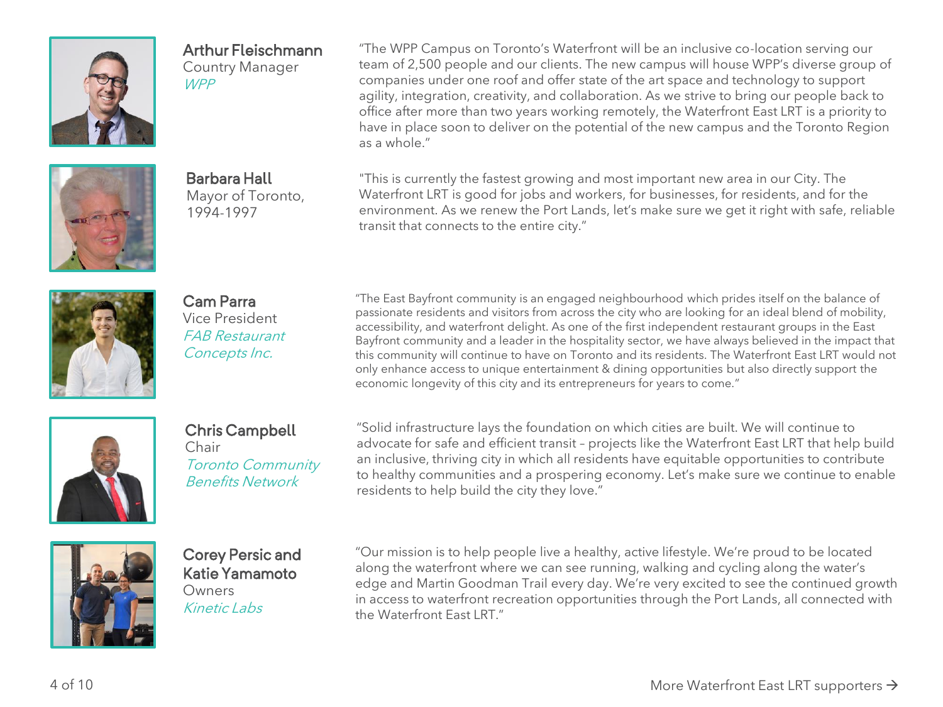

## Arthur Fleischmann

Country Manager WPP

"The WPP Campus on Toronto's Waterfront will be an inclusive co-location serving our team of 2,500 people and our clients. The new campus will house WPP's diverse group of companies under one roof and offer state of the art space and technology to support agility, integration, creativity, and collaboration. As we strive to bring our people back to office after more than two years working remotely, the Waterfront East LRT is a priority to have in place soon to deliver on the potential of the new campus and the Toronto Region as a whole."



Barbara Hall Mayor of Toronto, 1994-1997

"This is currently the fastest growing and most important new area in our City. The Waterfront LRT is good for jobs and workers, for businesses, for residents, and for the environment. As we renew the Port Lands, let's make sure we get it right with safe, reliable transit that connects to the entire city."



Cam Parra Vice President FAB Restaurant Concepts Inc.

"The East Bayfront community is an engaged neighbourhood which prides itself on the balance of passionate residents and visitors from across the city who are looking for an ideal blend of mobility, accessibility, and waterfront delight. As one of the first independent restaurant groups in the East Bayfront community and a leader in the hospitality sector, we have always believed in the impact that this community will continue to have on Toronto and its residents. The Waterfront East LRT would not only enhance access to unique entertainment & dining opportunities but also directly support the economic longevity of this city and its entrepreneurs for years to come."



Chris Campbell

Chair Toronto Community Benefits Network

"Solid infrastructure lays the foundation on which cities are built. We will continue to advocate for safe and efficient transit – projects like the Waterfront East LRT that help build an inclusive, thriving city in which all residents have equitable opportunities to contribute to healthy communities and a prospering economy. Let's make sure we continue to enable residents to help build the city they love."



Corey Persic and Katie Yamamoto **Owners** Kinetic Labs

"Our mission is to help people live a healthy, active lifestyle. We're proud to be located along the waterfront where we can see running, walking and cycling along the water's edge and Martin Goodman Trail every day. We're very excited to see the continued growth in access to waterfront recreation opportunities through the Port Lands, all connected with the Waterfront Fast LRT."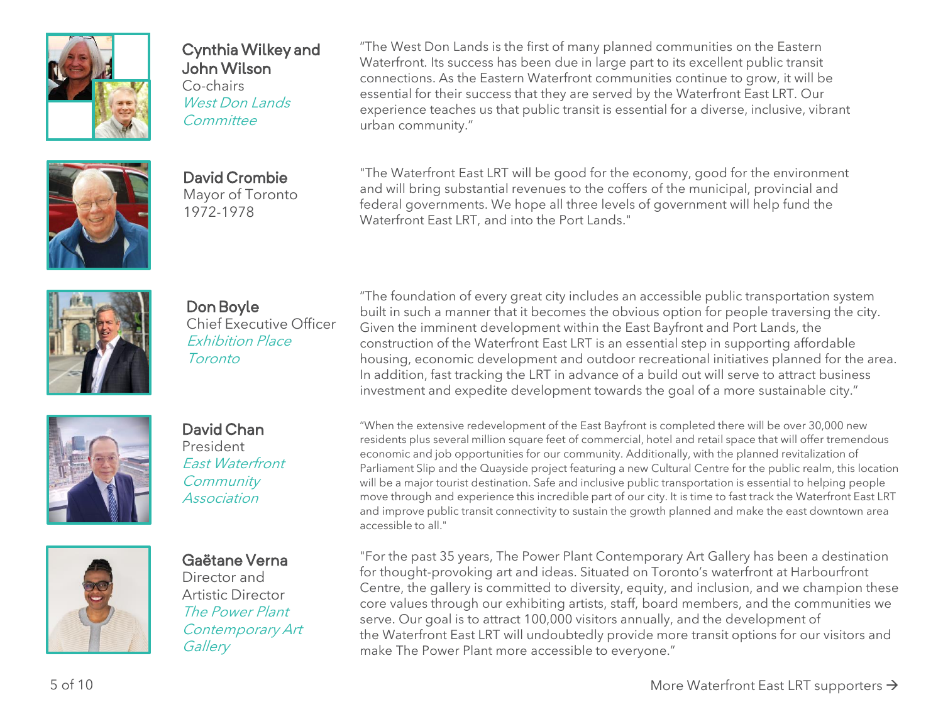

#### Cynthia Wilkey and John Wilson

Co-chairs West Don Lands **Committee** 

"The West Don Lands is the first of many planned communities on the Eastern Waterfront. Its success has been due in large part to its excellent public transit connections. As the Eastern Waterfront communities continue to grow, it will be essential for their success that they are served by the Waterfront East LRT. Our experience teaches us that public transit is essential for a diverse, inclusive, vibrant urban community."



David Crombie Mayor of Toronto 1972-1978

"The Waterfront East LRT will be good for the economy, good for the environment and will bring substantial revenues to the coffers of the municipal, provincial and federal governments. We hope all three levels of government will help fund the Waterfront East LRT, and into the Port Lands."



Don Boyle Chief Executive Officer Exhibition Place **Toronto** 

"The foundation of every great city includes an accessible public transportation system built in such a manner that it becomes the obvious option for people traversing the city. Given the imminent development within the East Bayfront and Port Lands, the construction of the Waterfront East LRT is an essential step in supporting affordable housing, economic development and outdoor recreational initiatives planned for the area. In addition, fast tracking the LRT in advance of a build out will serve to attract business investment and expedite development towards the goal of a more sustainable city."







East Waterfront **Association** 

Gaëtane Verna Director and Artistic Director The Power Plant Contemporary Art **Gallery** 

"When the extensive redevelopment of the East Bayfront is completed there will be over 30,000 new residents plus several million square feet of commercial, hotel and retail space that will offer tremendous economic and job opportunities for our community. Additionally, with the planned revitalization of Parliament Slip and the Quayside project featuring a new Cultural Centre for the public realm, this location will be a major tourist destination. Safe and inclusive public transportation is essential to helping people move through and experience this incredible part of our city. It is time to fast track the Waterfront East LRT and improve public transit connectivity to sustain the growth planned and make the east downtown area accessible to all."

"For the past 35 years, The Power Plant Contemporary Art Gallery has been a destination for thought-provoking art and ideas. Situated on Toronto's waterfront at Harbourfront Centre, the gallery is committed to diversity, equity, and inclusion, and we champion these core values through our exhibiting artists, staff, board members, and the communities we serve. Our goal is to attract 100,000 visitors annually, and the development of the Waterfront East LRT will undoubtedly provide more transit options for our visitors and make The Power Plant more accessible to everyone."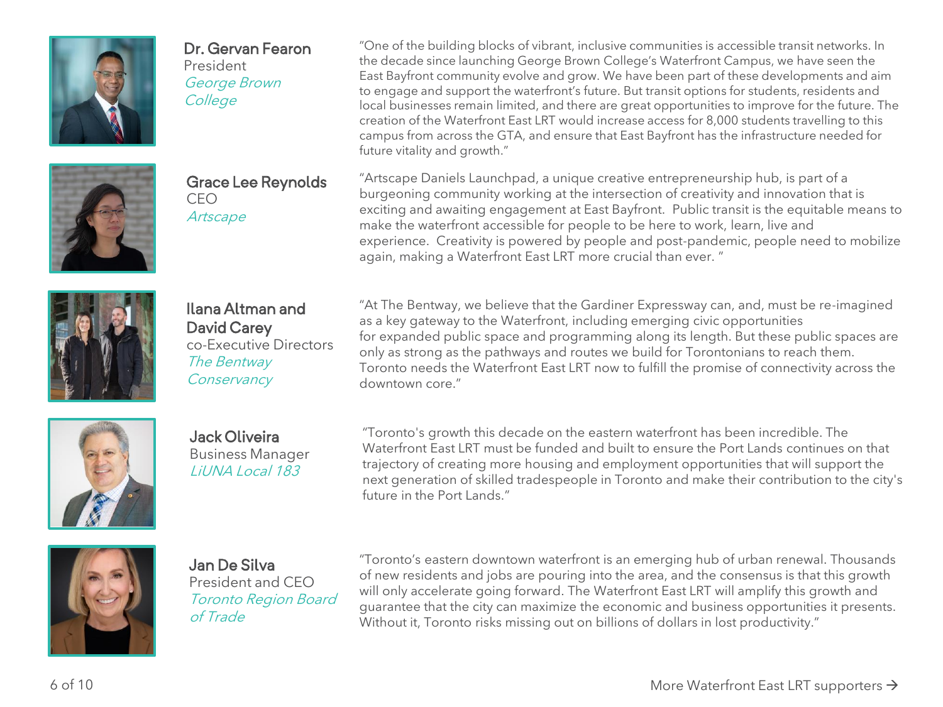

#### Dr. Gervan Fearon

President George Brown College



Grace Lee Reynolds CEO **Artscape** 

"One of the building blocks of vibrant, inclusive communities is accessible transit networks. In the decade since launching George Brown College's Waterfront Campus, we have seen the East Bayfront community evolve and grow. We have been part of these developments and aim to engage and support the waterfront's future. But transit options for students, residents and local businesses remain limited, and there are great opportunities to improve for the future. The creation of the Waterfront East LRT would increase access for 8,000 students travelling to this campus from across the GTA, and ensure that East Bayfront has the infrastructure needed for future vitality and growth."

"Artscape Daniels Launchpad, a unique creative entrepreneurship hub, is part of a burgeoning community working at the intersection of creativity and innovation that is exciting and awaiting engagement at East Bayfront. Public transit is the equitable means to make the waterfront accessible for people to be here to work, learn, live and experience. Creativity is powered by people and post-pandemic, people need to mobilize again, making a Waterfront East LRT more crucial than ever. "

Ilana Altman and David Carey co-Executive Directors The Bentway **Conservancy** 

"At The Bentway, we believe that the Gardiner Expressway can, and, must be re-imagined as a key gateway to the Waterfront, including emerging civic opportunities for expanded public space and programming along its length. But these public spaces are only as strong as the pathways and routes we build for Torontonians to reach them. Toronto needs the Waterfront East LRT now to fulfill the promise of connectivity across the downtown core."



Jack Oliveira Business Manager LiUNA Local 183

"Toronto's growth this decade on the eastern waterfront has been incredible. The Waterfront East LRT must be funded and built to ensure the Port Lands continues on that trajectory of creating more housing and employment opportunities that will support the next generation of skilled tradespeople in Toronto and make their contribution to the city's future in the Port Lands."



Jan De Silva President and CEO Toronto Region Board of Trade

"Toronto's eastern downtown waterfront is an emerging hub of urban renewal. Thousands of new residents and jobs are pouring into the area, and the consensus is that this growth will only accelerate going forward. The Waterfront East LRT will amplify this growth and guarantee that the city can maximize the economic and business opportunities it presents. Without it, Toronto risks missing out on billions of dollars in lost productivity."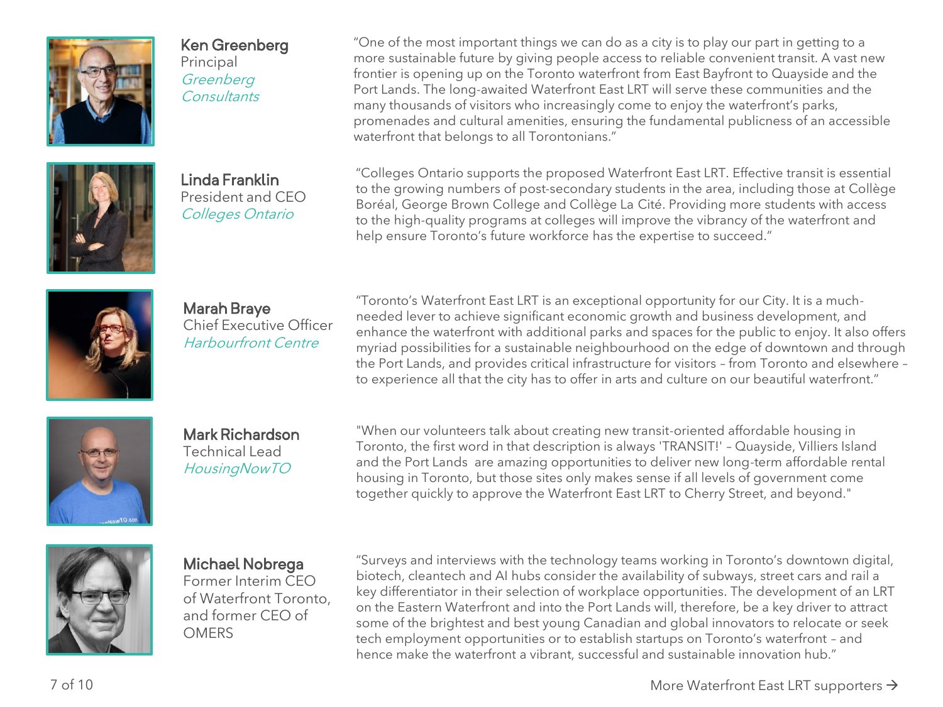

## Ken Greenberg

Principal **Greenberg Consultants** 

Linda Franklin President and CEO Colleges Ontario

"One of the most important things we can do as a city is to play our part in getting to a more sustainable future by giving people access to reliable convenient transit. A vast new frontier is opening up on the Toronto waterfront from East Bayfront to Quayside and the Port Lands. The long-awaited Waterfront East LRT will serve these communities and the many thousands of visitors who increasingly come to enjoy the waterfront's parks, promenades and cultural amenities, ensuring the fundamental publicness of an accessible waterfront that belongs to all Torontonians."

"Colleges Ontario supports the proposed Waterfront East LRT. Effective transit is essential to the growing numbers of post-secondary students in the area, including those at Collège Boréal, George Brown College and Collège La Cité. Providing more students with access to the high-quality programs at colleges will improve the vibrancy of the waterfront and help ensure Toronto's future workforce has the expertise to succeed."



Marah Braye Chief Executive Officer Harbourfront Centre

"Toronto's Waterfront East LRT is an exceptional opportunity for our City. It is a muchneeded lever to achieve significant economic growth and business development, and enhance the waterfront with additional parks and spaces for the public to enjoy. It also offers myriad possibilities for a sustainable neighbourhood on the edge of downtown and through the Port Lands, and provides critical infrastructure for visitors – from Toronto and elsewhere – to experience all that the city has to offer in arts and culture on our beautiful waterfront."



Mark Richardson Technical Lead HousingNowTO

"When our volunteers talk about creating new transit-oriented affordable housing in Toronto, the first word in that description is always 'TRANSIT!' – Quayside, Villiers Island and the Port Lands are amazing opportunities to deliver new long-term affordable rental housing in Toronto, but those sites only makes sense if all levels of government come together quickly to approve the Waterfront East LRT to Cherry Street, and beyond."



## Michael Nobrega

Former Interim CEO of Waterfront Toronto, and former CEO of **OMERS** 

"Surveys and interviews with the technology teams working in Toronto's downtown digital, biotech, cleantech and AI hubs consider the availability of subways, street cars and rail a key differentiator in their selection of workplace opportunities. The development of an LRT on the Eastern Waterfront and into the Port Lands will, therefore, be a key driver to attract some of the brightest and best young Canadian and global innovators to relocate or seek tech employment opportunities or to establish startups on Toronto's waterfront – and hence make the waterfront a vibrant, successful and sustainable innovation hub."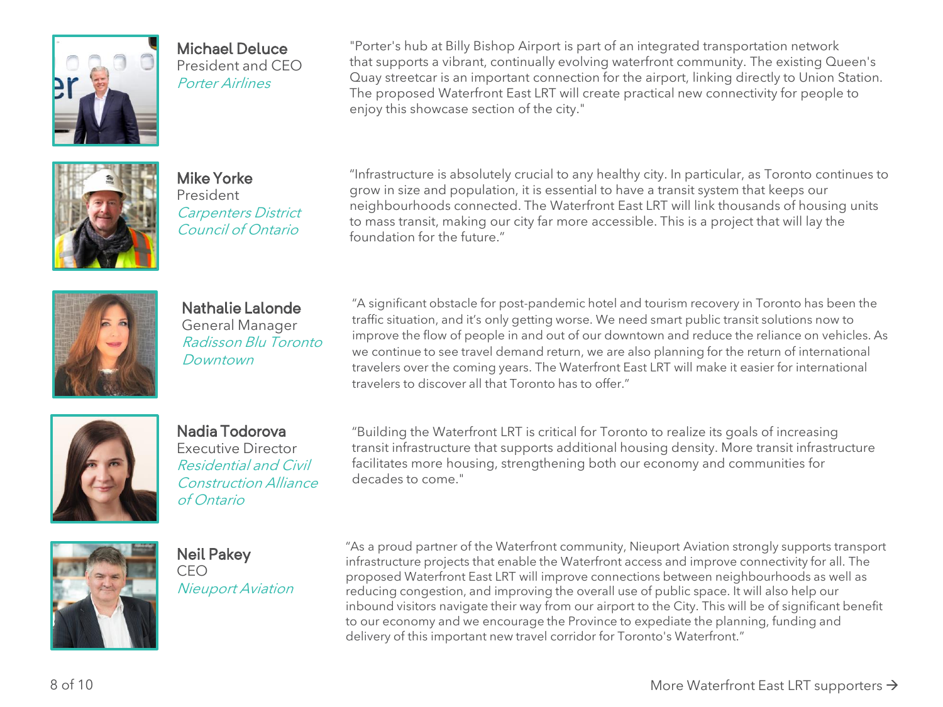

### Michael Deluce

President and CEO Porter Airlines

"Porter's hub at Billy Bishop Airport is part of an integrated transportation network that supports a vibrant, continually evolving waterfront community. The existing Queen's Quay streetcar is an important connection for the airport, linking directly to Union Station. The proposed Waterfront East LRT will create practical new connectivity for people to enjoy this showcase section of the city."



Mike Yorke President Carpenters District Council of Ontario

"Infrastructure is absolutely crucial to any healthy city. In particular, as Toronto continues to grow in size and population, it is essential to have a transit system that keeps our neighbourhoods connected. The Waterfront East LRT will link thousands of housing units to mass transit, making our city far more accessible. This is a project that will lay the foundation for the future."



Nathalie Lalonde General Manager Radisson Blu Toronto Downtown

"A significant obstacle for post-pandemic hotel and tourism recovery in Toronto has been the traffic situation, and it's only getting worse. We need smart public transit solutions now to improve the flow of people in and out of our downtown and reduce the reliance on vehicles. As we continue to see travel demand return, we are also planning for the return of international travelers over the coming years. The Waterfront East LRT will make it easier for international travelers to discover all that Toronto has to offer."



# Nadia Todorova

Executive Director Residential and Civil Construction Alliance of Ontario

"Building the Waterfront LRT is critical for Toronto to realize its goals of increasing transit infrastructure that supports additional housing density. More transit infrastructure facilitates more housing, strengthening both our economy and communities for decades to come."



Neil Pakey CEO Nieuport Aviation

"As a proud partner of the Waterfront community, Nieuport Aviation strongly supports transport infrastructure projects that enable the Waterfront access and improve connectivity for all. The proposed Waterfront East LRT will improve connections between neighbourhoods as well as reducing congestion, and improving the overall use of public space. It will also help our inbound visitors navigate their way from our airport to the City. This will be of significant benefit to our economy and we encourage the Province to expediate the planning, funding and delivery of this important new travel corridor for Toronto's Waterfront."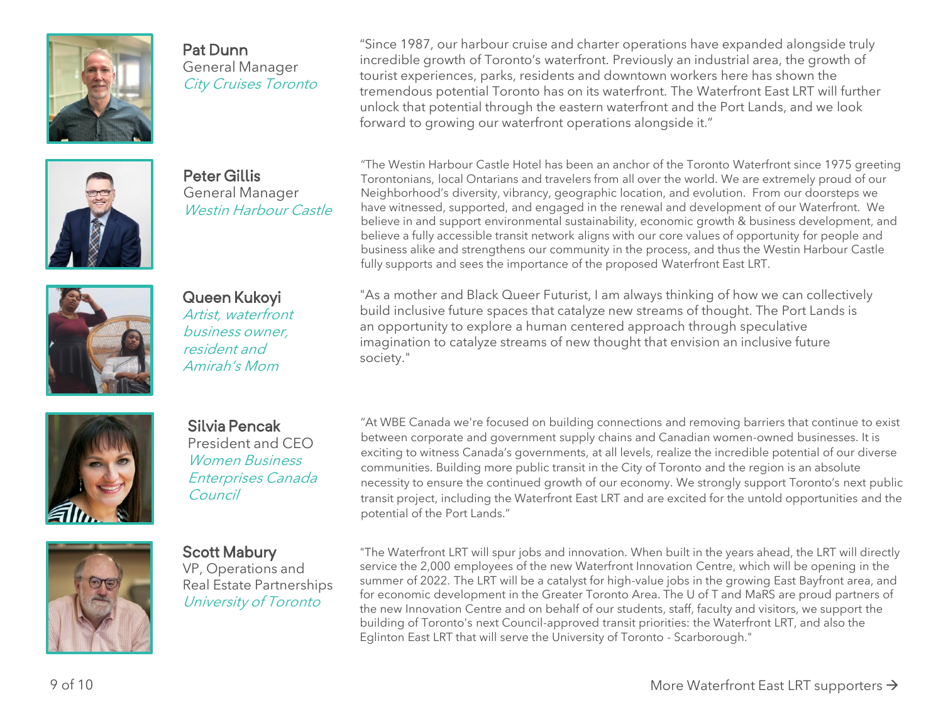

#### Pat Dunn General Manager City Cruises Toronto

"Since 1987, our harbour cruise and charter operations have expanded alongside truly incredible growth of Toronto's waterfront. Previously an industrial area, the growth of tourist experiences, parks, residents and downtown workers here has shown the tremendous potential Toronto has on its waterfront. The Waterfront East LRT will further unlock that potential through the eastern waterfront and the Port Lands, and we look forward to growing our waterfront operations alongside it."



Peter Gillis General Manager Westin Harbour Castle

"The Westin Harbour Castle Hotel has been an anchor of the Toronto Waterfront since 1975 greeting Torontonians, local Ontarians and travelers from all over the world. We are extremely proud of our Neighborhood's diversity, vibrancy, geographic location, and evolution. From our doorsteps we have witnessed, supported, and engaged in the renewal and development of our Waterfront. We believe in and support environmental sustainability, economic growth & business development, and believe a fully accessible transit network aligns with our core values of opportunity for people and business alike and strengthens our community in the process, and thus the Westin Harbour Castle fully supports and sees the importance of the proposed Waterfront East LRT.



Queen Kukoyi Artist, waterfront business owner, resident and Amirah's Mom

"As a mother and Black Queer Futurist, I am always thinking of how we can collectively build inclusive future spaces that catalyze new streams of thought. The Port Lands is an opportunity to explore a human centered approach through speculative imagination to catalyze streams of new thought that envision an inclusive future society."



Silvia Pencak President and CEO Women Business Enterprises Canada Council

"At WBE Canada we're focused on building connections and removing barriers that continue to exist between corporate and government supply chains and Canadian women-owned businesses. It is exciting to witness Canada's governments, at all levels, realize the incredible potential of our diverse communities. Building more public transit in the City of Toronto and the region is an absolute necessity to ensure the continued growth of our economy. We strongly support Toronto's next public transit project, including the Waterfront East LRT and are excited for the untold opportunities and the potential of the Port Lands."



Scott Mabury VP, Operations and Real Estate Partnerships University of Toronto

"The Waterfront LRT will spur jobs and innovation. When built in the years ahead, the LRT will directly service the 2,000 employees of the new Waterfront Innovation Centre, which will be opening in the summer of 2022. The LRT will be a catalyst for high-value jobs in the growing East Bayfront area, and for economic development in the Greater Toronto Area. The U of T and MaRS are proud partners of the new Innovation Centre and on behalf of our students, staff, faculty and visitors, we support the building of Toronto's next Council-approved transit priorities: the Waterfront LRT, and also the Eglinton East LRT that will serve the University of Toronto - Scarborough."